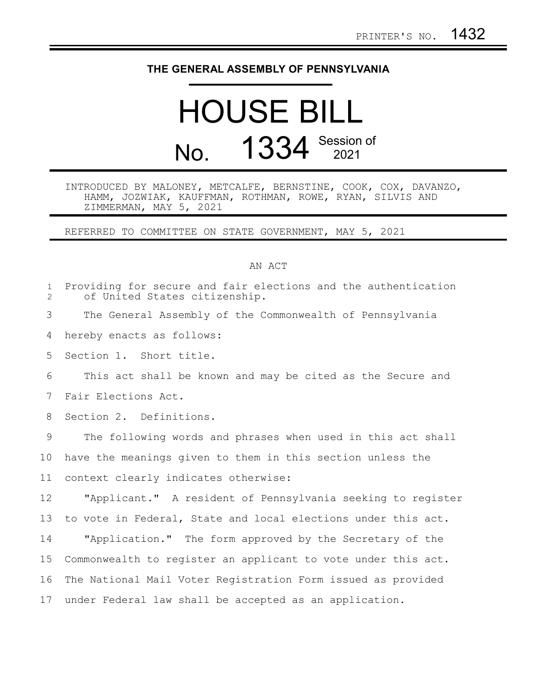## **THE GENERAL ASSEMBLY OF PENNSYLVANIA**

# HOUSE BILL No. 1334 Session of

### INTRODUCED BY MALONEY, METCALFE, BERNSTINE, COOK, COX, DAVANZO, HAMM, JOZWIAK, KAUFFMAN, ROTHMAN, ROWE, RYAN, SILVIS AND ZIMMERMAN, MAY 5, 2021

REFERRED TO COMMITTEE ON STATE GOVERNMENT, MAY 5, 2021

#### AN ACT

| $\mathbf{1}$<br>$\mathbf{2}^{\prime}$ | Providing for secure and fair elections and the authentication<br>of United States citizenship. |
|---------------------------------------|-------------------------------------------------------------------------------------------------|
| 3                                     | The General Assembly of the Commonwealth of Pennsylvania                                        |
| 4                                     | hereby enacts as follows:                                                                       |
| 5                                     | Section 1. Short title.                                                                         |
| 6                                     | This act shall be known and may be cited as the Secure and                                      |
| 7                                     | Fair Elections Act.                                                                             |
| 8                                     | Section 2. Definitions.                                                                         |
| 9                                     | The following words and phrases when used in this act shall                                     |
| 10                                    | have the meanings given to them in this section unless the                                      |
| 11                                    | context clearly indicates otherwise:                                                            |
| 12                                    | "Applicant." A resident of Pennsylvania seeking to register                                     |
| 13                                    | to vote in Federal, State and local elections under this act.                                   |
| 14                                    | "Application." The form approved by the Secretary of the                                        |
| 15                                    | Commonwealth to register an applicant to vote under this act.                                   |
| 16                                    | The National Mail Voter Registration Form issued as provided                                    |
| 17                                    | under Federal law shall be accepted as an application.                                          |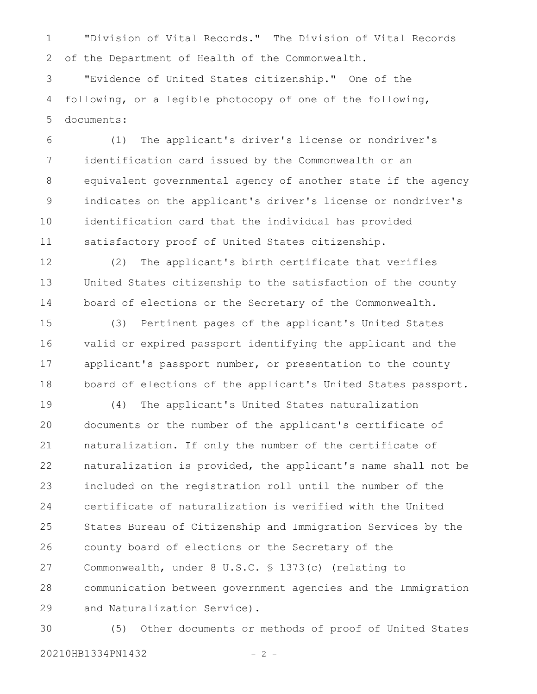"Division of Vital Records." The Division of Vital Records of the Department of Health of the Commonwealth. 1 2

"Evidence of United States citizenship." One of the following, or a legible photocopy of one of the following, documents: 3 4 5

(1) The applicant's driver's license or nondriver's identification card issued by the Commonwealth or an equivalent governmental agency of another state if the agency indicates on the applicant's driver's license or nondriver's identification card that the individual has provided satisfactory proof of United States citizenship. 6 7 8 9 10 11

(2) The applicant's birth certificate that verifies United States citizenship to the satisfaction of the county board of elections or the Secretary of the Commonwealth. 12 13 14

(3) Pertinent pages of the applicant's United States valid or expired passport identifying the applicant and the applicant's passport number, or presentation to the county board of elections of the applicant's United States passport. 15 16 17 18

(4) The applicant's United States naturalization documents or the number of the applicant's certificate of naturalization. If only the number of the certificate of naturalization is provided, the applicant's name shall not be included on the registration roll until the number of the certificate of naturalization is verified with the United States Bureau of Citizenship and Immigration Services by the county board of elections or the Secretary of the Commonwealth, under 8 U.S.C. § 1373(c) (relating to communication between government agencies and the Immigration and Naturalization Service). 19 20 21 22 23 24 25 26 27 28 29

(5) Other documents or methods of proof of United States 20210HB1334PN1432 - 2 -30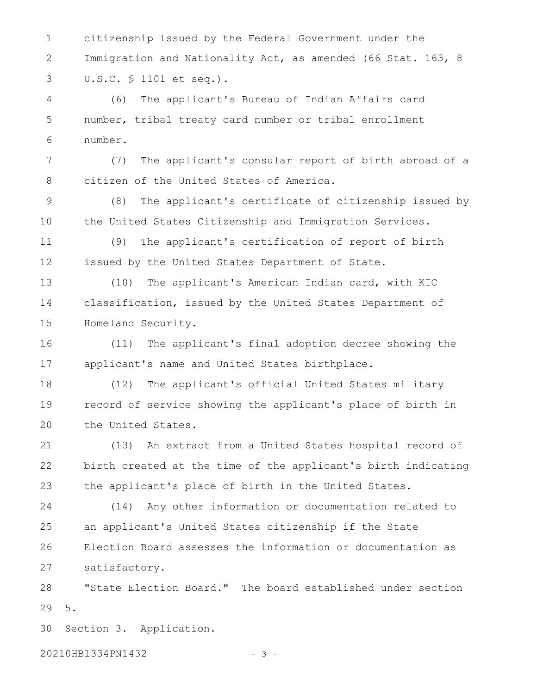citizenship issued by the Federal Government under the Immigration and Nationality Act, as amended (66 Stat. 163, 8 U.S.C. § 1101 et seq.). 1 2 3

(6) The applicant's Bureau of Indian Affairs card number, tribal treaty card number or tribal enrollment number. 4 5 6

(7) The applicant's consular report of birth abroad of a citizen of the United States of America. 7 8

(8) The applicant's certificate of citizenship issued by the United States Citizenship and Immigration Services. 9 10

(9) The applicant's certification of report of birth issued by the United States Department of State. 11 12

(10) The applicant's American Indian card, with KIC classification, issued by the United States Department of Homeland Security. 13 14 15

(11) The applicant's final adoption decree showing the applicant's name and United States birthplace. 16 17

(12) The applicant's official United States military record of service showing the applicant's place of birth in the United States. 18 19 20

(13) An extract from a United States hospital record of birth created at the time of the applicant's birth indicating the applicant's place of birth in the United States. 21 22 23

(14) Any other information or documentation related to an applicant's United States citizenship if the State Election Board assesses the information or documentation as satisfactory. 24 25 26 27

"State Election Board." The board established under section 5. 28 29

Section 3. Application. 30

20210HB1334PN1432 - 3 -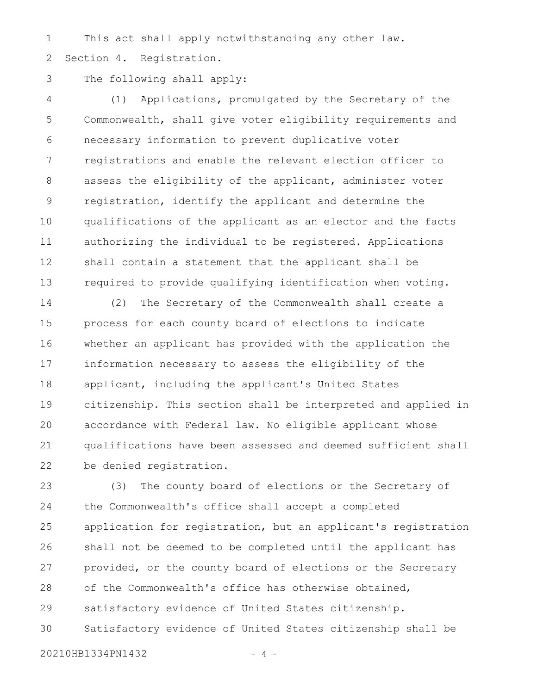This act shall apply notwithstanding any other law. Section 4. Registration. 1 2

#### The following shall apply: 3

(1) Applications, promulgated by the Secretary of the Commonwealth, shall give voter eligibility requirements and necessary information to prevent duplicative voter registrations and enable the relevant election officer to assess the eligibility of the applicant, administer voter registration, identify the applicant and determine the qualifications of the applicant as an elector and the facts authorizing the individual to be registered. Applications shall contain a statement that the applicant shall be required to provide qualifying identification when voting. 4 5 6 7 8 9 10 11 12 13

(2) The Secretary of the Commonwealth shall create a process for each county board of elections to indicate whether an applicant has provided with the application the information necessary to assess the eligibility of the applicant, including the applicant's United States citizenship. This section shall be interpreted and applied in accordance with Federal law. No eligible applicant whose qualifications have been assessed and deemed sufficient shall be denied registration. 14 15 16 17 18 19 20 21 22

(3) The county board of elections or the Secretary of the Commonwealth's office shall accept a completed application for registration, but an applicant's registration shall not be deemed to be completed until the applicant has provided, or the county board of elections or the Secretary of the Commonwealth's office has otherwise obtained, satisfactory evidence of United States citizenship. Satisfactory evidence of United States citizenship shall be 23 24 25 26 27 28 29 30

20210HB1334PN1432 - 4 -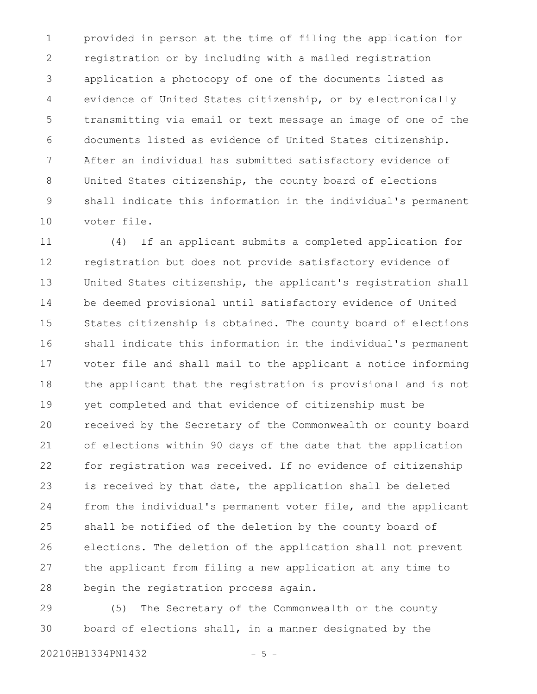provided in person at the time of filing the application for registration or by including with a mailed registration application a photocopy of one of the documents listed as evidence of United States citizenship, or by electronically transmitting via email or text message an image of one of the documents listed as evidence of United States citizenship. After an individual has submitted satisfactory evidence of United States citizenship, the county board of elections shall indicate this information in the individual's permanent voter file. 1 2 3 4 5 6 7 8 9 10

(4) If an applicant submits a completed application for registration but does not provide satisfactory evidence of United States citizenship, the applicant's registration shall be deemed provisional until satisfactory evidence of United States citizenship is obtained. The county board of elections shall indicate this information in the individual's permanent voter file and shall mail to the applicant a notice informing the applicant that the registration is provisional and is not yet completed and that evidence of citizenship must be received by the Secretary of the Commonwealth or county board of elections within 90 days of the date that the application for registration was received. If no evidence of citizenship is received by that date, the application shall be deleted from the individual's permanent voter file, and the applicant shall be notified of the deletion by the county board of elections. The deletion of the application shall not prevent the applicant from filing a new application at any time to begin the registration process again. 11 12 13 14 15 16 17 18 19 20 21 22 23 24 25 26 27 28

(5) The Secretary of the Commonwealth or the county board of elections shall, in a manner designated by the 29 30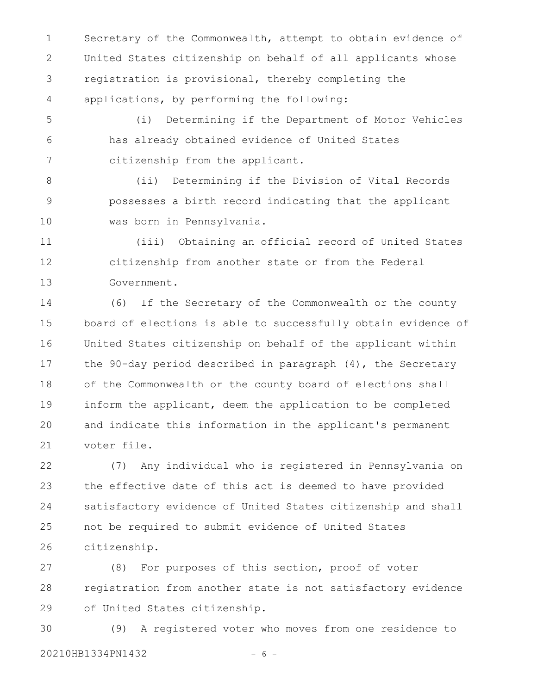Secretary of the Commonwealth, attempt to obtain evidence of United States citizenship on behalf of all applicants whose registration is provisional, thereby completing the applications, by performing the following: 1 2 3 4

(i) Determining if the Department of Motor Vehicles has already obtained evidence of United States citizenship from the applicant. 5 6 7

(ii) Determining if the Division of Vital Records possesses a birth record indicating that the applicant was born in Pennsylvania. 8 9 10

(iii) Obtaining an official record of United States citizenship from another state or from the Federal Government. 11 12 13

(6) If the Secretary of the Commonwealth or the county board of elections is able to successfully obtain evidence of United States citizenship on behalf of the applicant within the 90-day period described in paragraph (4), the Secretary of the Commonwealth or the county board of elections shall inform the applicant, deem the application to be completed and indicate this information in the applicant's permanent voter file. 14 15 16 17 18 19 20 21

(7) Any individual who is registered in Pennsylvania on the effective date of this act is deemed to have provided satisfactory evidence of United States citizenship and shall not be required to submit evidence of United States citizenship. 22 23 24 25 26

(8) For purposes of this section, proof of voter registration from another state is not satisfactory evidence of United States citizenship. 27 28 29

(9) A registered voter who moves from one residence to 20210HB1334PN1432 - 6 -30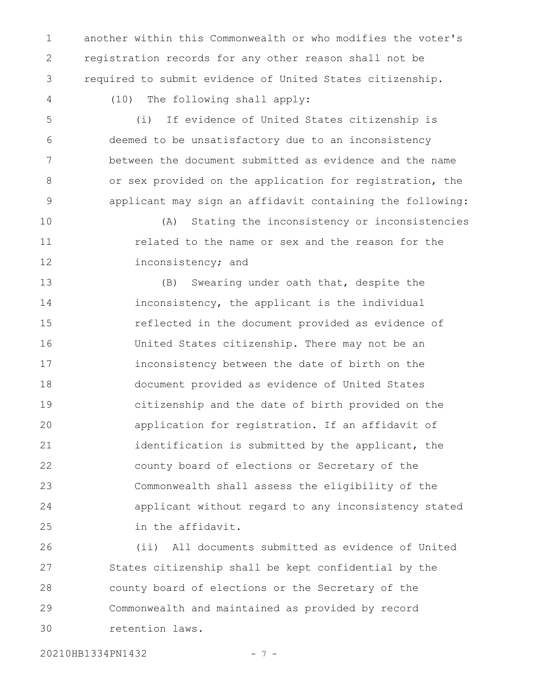another within this Commonwealth or who modifies the voter's registration records for any other reason shall not be required to submit evidence of United States citizenship. 1 2 3

4

(10) The following shall apply:

(i) If evidence of United States citizenship is deemed to be unsatisfactory due to an inconsistency between the document submitted as evidence and the name or sex provided on the application for registration, the applicant may sign an affidavit containing the following: 5 6 7 8 9

(A) Stating the inconsistency or inconsistencies related to the name or sex and the reason for the inconsistency; and 10 11 12

(B) Swearing under oath that, despite the inconsistency, the applicant is the individual reflected in the document provided as evidence of United States citizenship. There may not be an inconsistency between the date of birth on the document provided as evidence of United States citizenship and the date of birth provided on the application for registration. If an affidavit of identification is submitted by the applicant, the county board of elections or Secretary of the Commonwealth shall assess the eligibility of the applicant without regard to any inconsistency stated in the affidavit. 13 14 15 16 17 18 19 20 21 22 23 24 25

(ii) All documents submitted as evidence of United States citizenship shall be kept confidential by the county board of elections or the Secretary of the Commonwealth and maintained as provided by record retention laws. 26 27 28 29 30

20210HB1334PN1432 - 7 -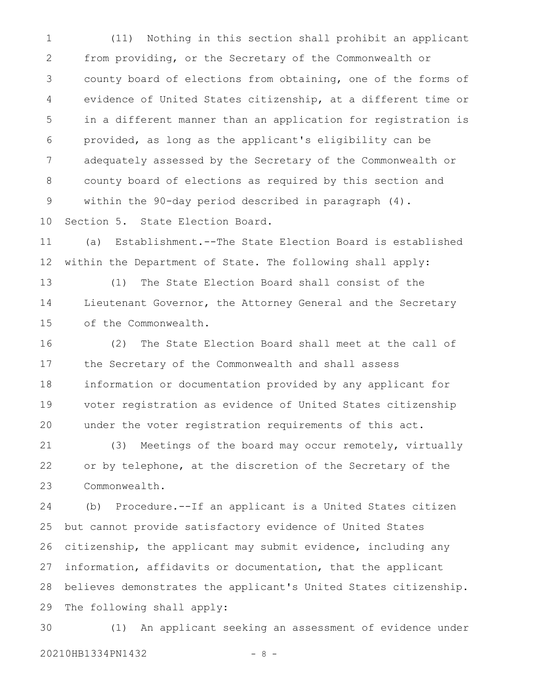(11) Nothing in this section shall prohibit an applicant from providing, or the Secretary of the Commonwealth or county board of elections from obtaining, one of the forms of evidence of United States citizenship, at a different time or in a different manner than an application for registration is provided, as long as the applicant's eligibility can be adequately assessed by the Secretary of the Commonwealth or county board of elections as required by this section and within the 90-day period described in paragraph (4). 1 2 3 4 5 6 7 8 9

Section 5. State Election Board. 10

(a) Establishment.--The State Election Board is established within the Department of State. The following shall apply: 11 12

(1) The State Election Board shall consist of the Lieutenant Governor, the Attorney General and the Secretary of the Commonwealth. 13 14 15

(2) The State Election Board shall meet at the call of the Secretary of the Commonwealth and shall assess information or documentation provided by any applicant for voter registration as evidence of United States citizenship under the voter registration requirements of this act. 16 17 18 19 20

(3) Meetings of the board may occur remotely, virtually or by telephone, at the discretion of the Secretary of the Commonwealth. 21 22 23

(b) Procedure.--If an applicant is a United States citizen but cannot provide satisfactory evidence of United States citizenship, the applicant may submit evidence, including any information, affidavits or documentation, that the applicant believes demonstrates the applicant's United States citizenship. The following shall apply: 24 25 26 27 28 29

(1) An applicant seeking an assessment of evidence under 30

20210HB1334PN1432 - 8 -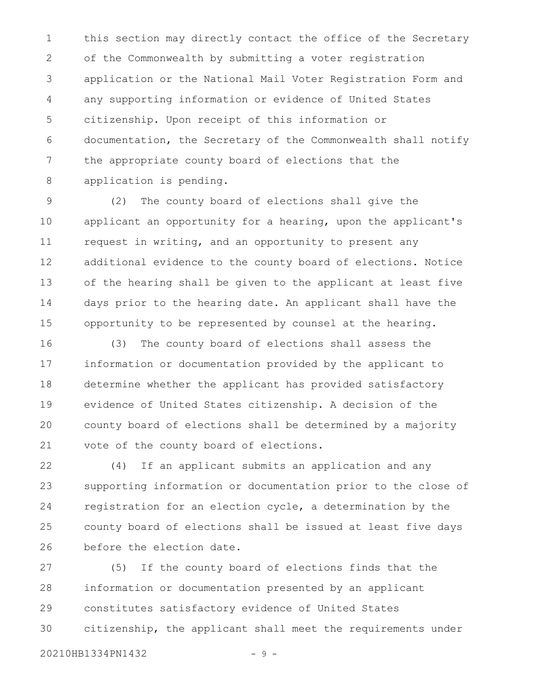this section may directly contact the office of the Secretary of the Commonwealth by submitting a voter registration application or the National Mail Voter Registration Form and any supporting information or evidence of United States citizenship. Upon receipt of this information or documentation, the Secretary of the Commonwealth shall notify the appropriate county board of elections that the application is pending. 1 2 3 4 5 6 7 8

(2) The county board of elections shall give the applicant an opportunity for a hearing, upon the applicant's request in writing, and an opportunity to present any additional evidence to the county board of elections. Notice of the hearing shall be given to the applicant at least five days prior to the hearing date. An applicant shall have the opportunity to be represented by counsel at the hearing. 9 10 11 12 13 14 15

(3) The county board of elections shall assess the information or documentation provided by the applicant to determine whether the applicant has provided satisfactory evidence of United States citizenship. A decision of the county board of elections shall be determined by a majority vote of the county board of elections. 16 17 18 19 20 21

(4) If an applicant submits an application and any supporting information or documentation prior to the close of registration for an election cycle, a determination by the county board of elections shall be issued at least five days before the election date. 22 23 24 25 26

(5) If the county board of elections finds that the information or documentation presented by an applicant constitutes satisfactory evidence of United States citizenship, the applicant shall meet the requirements under 27 28 29 30

20210HB1334PN1432 - 9 -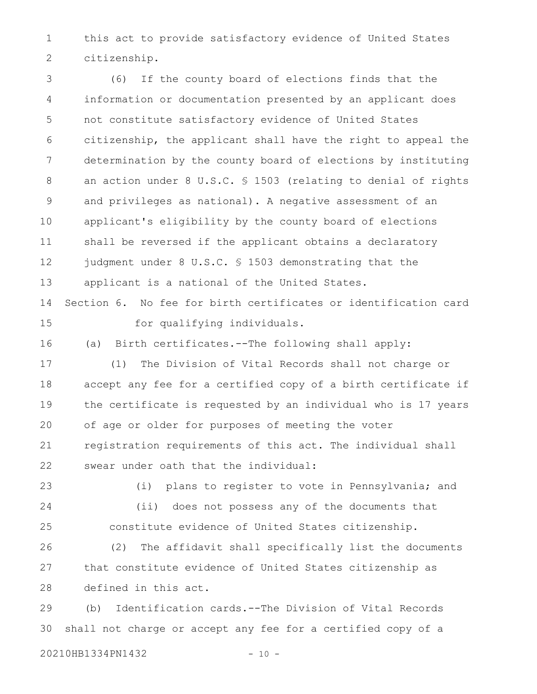this act to provide satisfactory evidence of United States citizenship. 1 2

(6) If the county board of elections finds that the information or documentation presented by an applicant does not constitute satisfactory evidence of United States citizenship, the applicant shall have the right to appeal the determination by the county board of elections by instituting an action under 8 U.S.C. § 1503 (relating to denial of rights and privileges as national). A negative assessment of an applicant's eligibility by the county board of elections shall be reversed if the applicant obtains a declaratory judgment under 8 U.S.C. § 1503 demonstrating that the applicant is a national of the United States. Section 6. No fee for birth certificates or identification card for qualifying individuals. (a) Birth certificates.--The following shall apply: (1) The Division of Vital Records shall not charge or accept any fee for a certified copy of a birth certificate if the certificate is requested by an individual who is 17 years of age or older for purposes of meeting the voter registration requirements of this act. The individual shall swear under oath that the individual: (i) plans to register to vote in Pennsylvania; and (ii) does not possess any of the documents that constitute evidence of United States citizenship. (2) The affidavit shall specifically list the documents that constitute evidence of United States citizenship as defined in this act. 3 4 5 6 7 8 9 10 11 12 13 14 15 16 17 18 19 20 21 22 23 24 25 26 27 28

(b) Identification cards.--The Division of Vital Records shall not charge or accept any fee for a certified copy of a 29 30

20210HB1334PN1432 - 10 -